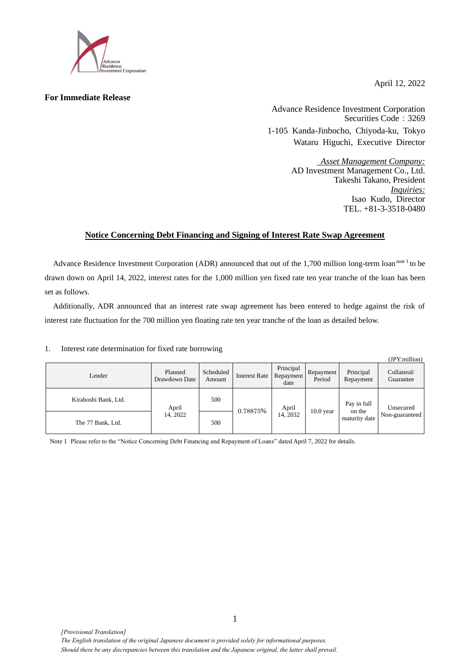

**For Immediate Release**

April 12, 2022

Advance Residence Investment Corporation Securities Code: 3269 1-105 Kanda-Jinbocho, Chiyoda-ku, Tokyo Wataru Higuchi, Executive Director

> *Asset Management Company:* AD Investment Management Co., Ltd. Takeshi Takano, President *Inquiries:* Isao Kudo, Director TEL. +81-3-3518-0480

## **Notice Concerning Debt Financing and Signing of Interest Rate Swap Agreement**

Advance Residence Investment Corporation (ADR) announced that out of the 1,700 million long-term loan note 1 to be drawn down on April 14, 2022, interest rates for the 1,000 million yen fixed rate ten year tranche of the loan has been set as follows.

Additionally, ADR announced that an interest rate swap agreement has been entered to hedge against the risk of interest rate fluctuation for the 700 million yen floating rate ten year tranche of the loan as detailed below.

## 1. Interest rate determination for fixed rate borrowing

|                      |                          |                     |                      |                                |                     |                                        | (JPY:million)               |
|----------------------|--------------------------|---------------------|----------------------|--------------------------------|---------------------|----------------------------------------|-----------------------------|
| Lender               | Planned<br>Drawdown Date | Scheduled<br>Amount | <b>Interest Rate</b> | Principal<br>Repayment<br>date | Repayment<br>Period | Principal<br>Repayment                 | Collateral/<br>Guarantee    |
| Kiraboshi Bank, Ltd. | April<br>14, 2022        | 500                 | 0.78875%             | April<br>14, 2032              | $10.0$ year         | Pay in full<br>on the<br>maturity date | Unsecured<br>Non-guaranteed |
| The 77 Bank, Ltd.    |                          | 500                 |                      |                                |                     |                                        |                             |

Note 1 Please refer to the "Notice Concerning Debt Financing and Repayment of Loans" dated April 7, 2022 for details.